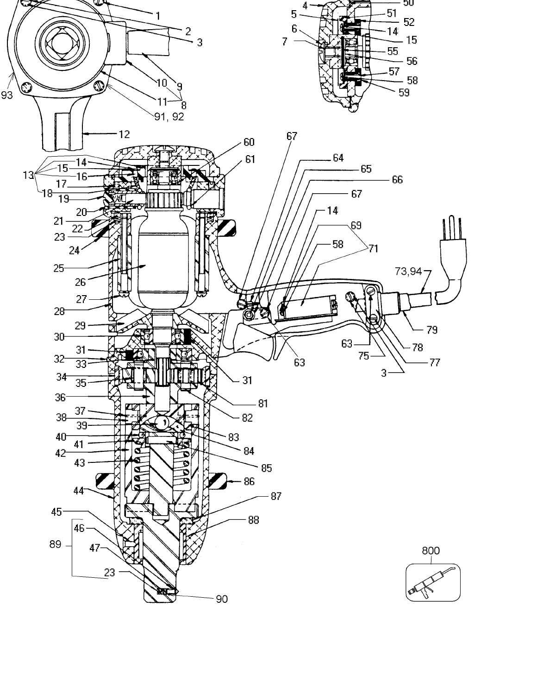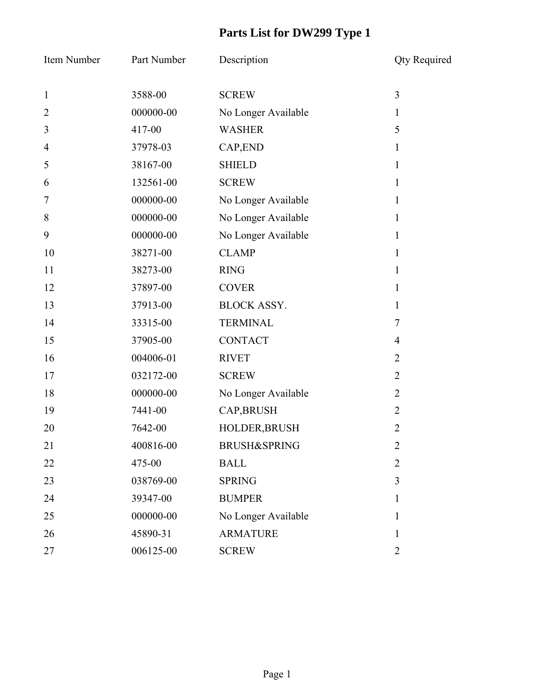| Item Number    | Part Number | Description             | <b>Qty Required</b> |
|----------------|-------------|-------------------------|---------------------|
| $\mathbf{1}$   | 3588-00     | <b>SCREW</b>            | 3                   |
| $\overline{2}$ | 000000-00   | No Longer Available     | 1                   |
| 3              | 417-00      | <b>WASHER</b>           | 5                   |
| $\overline{4}$ | 37978-03    | CAP, END                | $\mathbf{1}$        |
| 5              | 38167-00    | <b>SHIELD</b>           | 1                   |
| 6              | 132561-00   | <b>SCREW</b>            | 1                   |
| 7              | 000000-00   | No Longer Available     | 1                   |
| 8              | 000000-00   | No Longer Available     | 1                   |
| 9              | 000000-00   | No Longer Available     | 1                   |
| 10             | 38271-00    | <b>CLAMP</b>            | 1                   |
| 11             | 38273-00    | <b>RING</b>             | $\mathbf{1}$        |
| 12             | 37897-00    | <b>COVER</b>            | 1                   |
| 13             | 37913-00    | <b>BLOCK ASSY.</b>      | 1                   |
| 14             | 33315-00    | <b>TERMINAL</b>         | 7                   |
| 15             | 37905-00    | <b>CONTACT</b>          | 4                   |
| 16             | 004006-01   | <b>RIVET</b>            | $\overline{2}$      |
| 17             | 032172-00   | <b>SCREW</b>            | $\overline{2}$      |
| 18             | 000000-00   | No Longer Available     | $\overline{2}$      |
| 19             | 7441-00     | CAP, BRUSH              | $\overline{2}$      |
| 20             | 7642-00     | HOLDER, BRUSH           | $\overline{2}$      |
| 21             | 400816-00   | <b>BRUSH&amp;SPRING</b> | 2                   |
| 22             | 475-00      | <b>BALL</b>             | $\overline{2}$      |
| 23             | 038769-00   | <b>SPRING</b>           | $\overline{3}$      |
| 24             | 39347-00    | <b>BUMPER</b>           | 1                   |
| 25             | 000000-00   | No Longer Available     | 1                   |
| 26             | 45890-31    | <b>ARMATURE</b>         | 1                   |
| 27             | 006125-00   | <b>SCREW</b>            | $\overline{2}$      |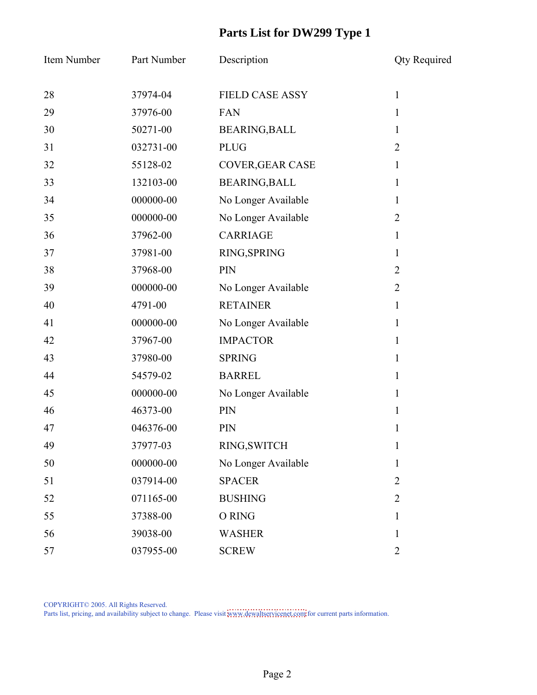| Item Number | Part Number | Description             | <b>Qty Required</b> |
|-------------|-------------|-------------------------|---------------------|
| 28          | 37974-04    | <b>FIELD CASE ASSY</b>  | $\mathbf{1}$        |
| 29          | 37976-00    | FAN                     | 1                   |
| 30          | 50271-00    | <b>BEARING, BALL</b>    | 1                   |
| 31          | 032731-00   | <b>PLUG</b>             | $\overline{2}$      |
| 32          | 55128-02    | <b>COVER, GEAR CASE</b> | 1                   |
| 33          | 132103-00   | <b>BEARING, BALL</b>    | 1                   |
| 34          | 000000-00   | No Longer Available     | 1                   |
| 35          | 000000-00   | No Longer Available     | $\overline{2}$      |
| 36          | 37962-00    | <b>CARRIAGE</b>         | 1                   |
| 37          | 37981-00    | RING, SPRING            | 1                   |
| 38          | 37968-00    | PIN                     | $\overline{2}$      |
| 39          | 000000-00   | No Longer Available     | $\overline{2}$      |
| 40          | 4791-00     | <b>RETAINER</b>         | 1                   |
| 41          | 000000-00   | No Longer Available     | $\mathbf{1}$        |
| 42          | 37967-00    | <b>IMPACTOR</b>         | 1                   |
| 43          | 37980-00    | <b>SPRING</b>           | 1                   |
| 44          | 54579-02    | <b>BARREL</b>           | $\mathbf{1}$        |
| 45          | 000000-00   | No Longer Available     | 1                   |
| 46          | 46373-00    | PIN                     | 1                   |
| 47          | 046376-00   | PIN                     | 1                   |
| 49          | 37977-03    | RING, SWITCH            | 1                   |
| 50          | 000000-00   | No Longer Available     | 1                   |
| 51          | 037914-00   | <b>SPACER</b>           | $\overline{2}$      |
| 52          | 071165-00   | <b>BUSHING</b>          | $\overline{2}$      |
| 55          | 37388-00    | O RING                  | 1                   |
| 56          | 39038-00    | <b>WASHER</b>           | 1                   |
| 57          | 037955-00   | <b>SCREW</b>            | $\overline{2}$      |

Parts list, pricing, and availability subject to change. Please visit [www.dewaltservicenet.com](http://www.dewaltservicenet.com) for current parts information.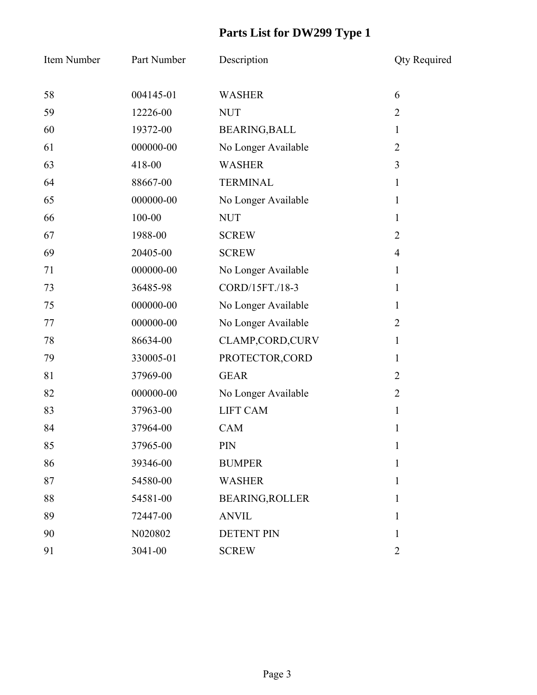| Item Number | Part Number | Description            | <b>Qty Required</b> |
|-------------|-------------|------------------------|---------------------|
| 58          | 004145-01   | <b>WASHER</b>          | 6                   |
| 59          | 12226-00    | <b>NUT</b>             | $\overline{2}$      |
| 60          | 19372-00    | <b>BEARING, BALL</b>   | 1                   |
| 61          | 000000-00   | No Longer Available    | $\overline{2}$      |
| 63          | 418-00      | <b>WASHER</b>          | 3                   |
| 64          | 88667-00    | <b>TERMINAL</b>        | 1                   |
| 65          | 000000-00   | No Longer Available    | $\mathbf{1}$        |
| 66          | 100-00      | <b>NUT</b>             | 1                   |
| 67          | 1988-00     | <b>SCREW</b>           | $\overline{2}$      |
| 69          | 20405-00    | <b>SCREW</b>           | $\overline{4}$      |
| 71          | 000000-00   | No Longer Available    | $\mathbf{1}$        |
| 73          | 36485-98    | CORD/15FT./18-3        | 1                   |
| 75          | 000000-00   | No Longer Available    | 1                   |
| 77          | 000000-00   | No Longer Available    | $\overline{2}$      |
| 78          | 86634-00    | CLAMP, CORD, CURV      | $\mathbf{1}$        |
| 79          | 330005-01   | PROTECTOR, CORD        | 1                   |
| 81          | 37969-00    | <b>GEAR</b>            | $\overline{2}$      |
| 82          | 000000-00   | No Longer Available    | $\overline{2}$      |
| 83          | 37963-00    | <b>LIFT CAM</b>        | $\mathbf{1}$        |
| 84          | 37964-00    | <b>CAM</b>             | 1                   |
| 85          | 37965-00    | PIN                    | $\mathbf{I}$        |
| 86          | 39346-00    | <b>BUMPER</b>          | $\mathbf{1}$        |
| 87          | 54580-00    | <b>WASHER</b>          | 1                   |
| 88          | 54581-00    | <b>BEARING, ROLLER</b> | 1                   |
| 89          | 72447-00    | <b>ANVIL</b>           | 1                   |
| 90          | N020802     | <b>DETENT PIN</b>      | 1                   |
| 91          | 3041-00     | <b>SCREW</b>           | $\overline{2}$      |